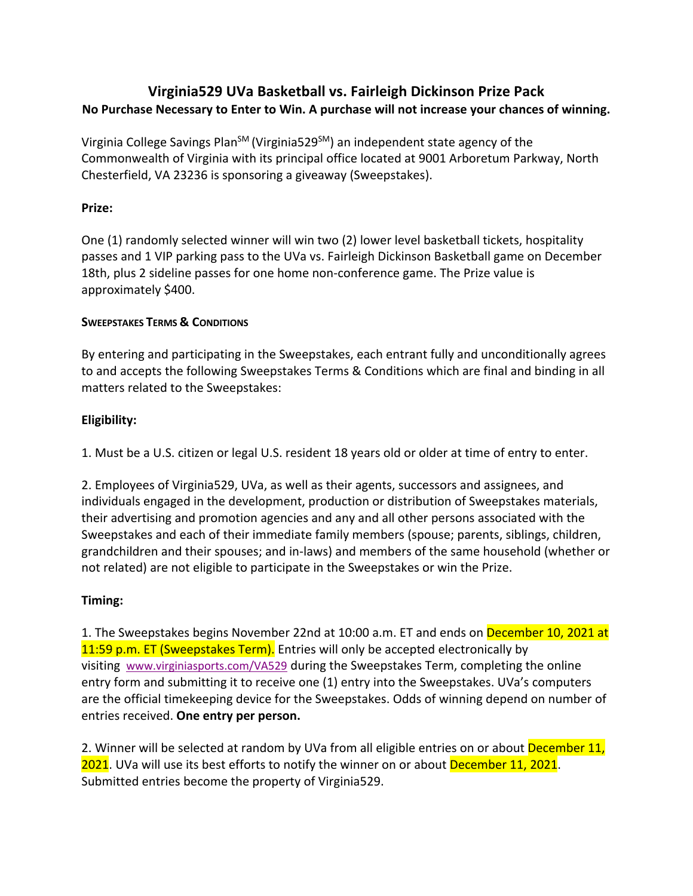# **Virginia529 UVa Basketball vs. Fairleigh Dickinson Prize Pack No Purchase Necessary to Enter to Win. A purchase will not increase your chances of winning.**

Virginia College Savings Plan<sup>SM</sup> (Virginia529 $^{5M}$ ) an independent state agency of the Commonwealth of Virginia with its principal office located at 9001 Arboretum Parkway, North Chesterfield, VA 23236 is sponsoring a giveaway (Sweepstakes).

# **Prize:**

One (1) randomly selected winner will win two (2) lower level basketball tickets, hospitality passes and 1 VIP parking pass to the UVa vs. Fairleigh Dickinson Basketball game on December 18th, plus 2 sideline passes for one home non-conference game. The Prize value is approximately \$400.

### **SWEEPSTAKES TERMS & CONDITIONS**

By entering and participating in the Sweepstakes, each entrant fully and unconditionally agrees to and accepts the following Sweepstakes Terms & Conditions which are final and binding in all matters related to the Sweepstakes:

# **Eligibility:**

1. Must be a U.S. citizen or legal U.S. resident 18 years old or older at time of entry to enter.

2. Employees of Virginia529, UVa, as well as their agents, successors and assignees, and individuals engaged in the development, production or distribution of Sweepstakes materials, their advertising and promotion agencies and any and all other persons associated with the Sweepstakes and each of their immediate family members (spouse; parents, siblings, children, grandchildren and their spouses; and in-laws) and members of the same household (whether or not related) are not eligible to participate in the Sweepstakes or win the Prize.

# **Timing:**

1. The Sweepstakes begins November 22nd at 10:00 a.m. ET and ends on December 10, 2021 at 11:59 p.m. ET (Sweepstakes Term). Entries will only be accepted electronically by visiting www.virginiasports.com/VA529 during the Sweepstakes Term, completing the online entry form and submitting it to receive one (1) entry into the Sweepstakes. UVa's computers are the official timekeeping device for the Sweepstakes. Odds of winning depend on number of entries received. **One entry per person.**

2. Winner will be selected at random by UVa from all eligible entries on or about December 11, 2021. UVa will use its best efforts to notify the winner on or about December 11, 2021. Submitted entries become the property of Virginia529.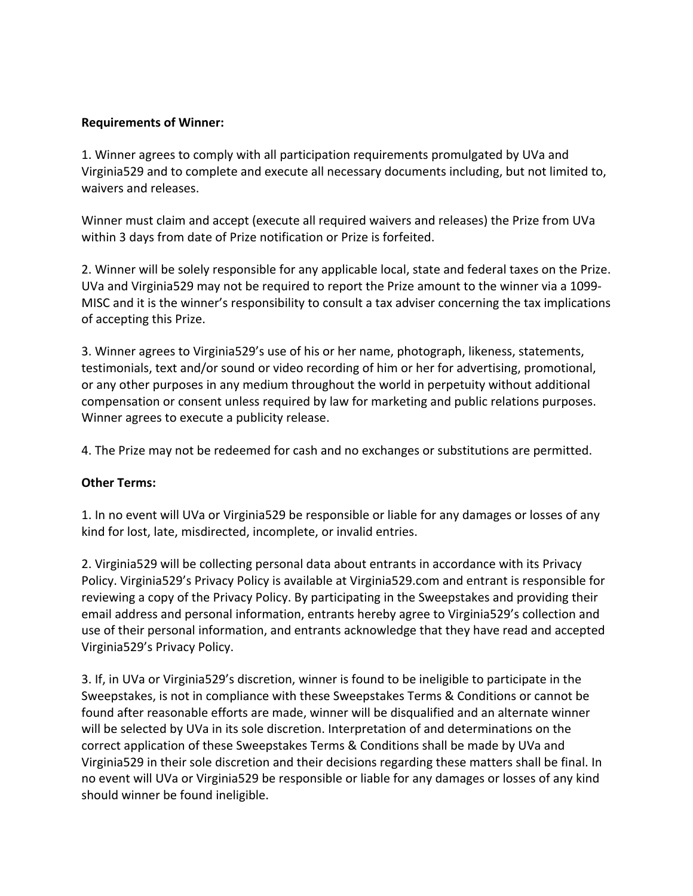#### **Requirements of Winner:**

1. Winner agrees to comply with all participation requirements promulgated by UVa and Virginia529 and to complete and execute all necessary documents including, but not limited to, waivers and releases.

Winner must claim and accept (execute all required waivers and releases) the Prize from UVa within 3 days from date of Prize notification or Prize is forfeited.

2. Winner will be solely responsible for any applicable local, state and federal taxes on the Prize. UVa and Virginia529 may not be required to report the Prize amount to the winner via a 1099- MISC and it is the winner's responsibility to consult a tax adviser concerning the tax implications of accepting this Prize.

3. Winner agrees to Virginia529's use of his or her name, photograph, likeness, statements, testimonials, text and/or sound or video recording of him or her for advertising, promotional, or any other purposes in any medium throughout the world in perpetuity without additional compensation or consent unless required by law for marketing and public relations purposes. Winner agrees to execute a publicity release.

4. The Prize may not be redeemed for cash and no exchanges or substitutions are permitted.

### **Other Terms:**

1. In no event will UVa or Virginia529 be responsible or liable for any damages or losses of any kind for lost, late, misdirected, incomplete, or invalid entries.

2. Virginia529 will be collecting personal data about entrants in accordance with its Privacy Policy. Virginia529's Privacy Policy is available at Virginia529.com and entrant is responsible for reviewing a copy of the Privacy Policy. By participating in the Sweepstakes and providing their email address and personal information, entrants hereby agree to Virginia529's collection and use of their personal information, and entrants acknowledge that they have read and accepted Virginia529's Privacy Policy.

3. If, in UVa or Virginia529's discretion, winner is found to be ineligible to participate in the Sweepstakes, is not in compliance with these Sweepstakes Terms & Conditions or cannot be found after reasonable efforts are made, winner will be disqualified and an alternate winner will be selected by UVa in its sole discretion. Interpretation of and determinations on the correct application of these Sweepstakes Terms & Conditions shall be made by UVa and Virginia529 in their sole discretion and their decisions regarding these matters shall be final. In no event will UVa or Virginia529 be responsible or liable for any damages or losses of any kind should winner be found ineligible.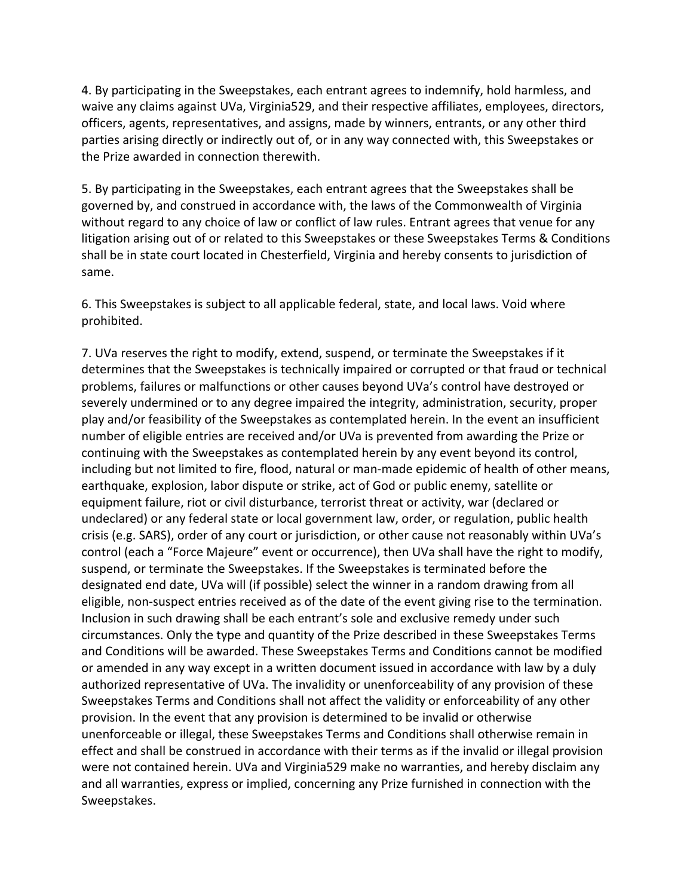4. By participating in the Sweepstakes, each entrant agrees to indemnify, hold harmless, and waive any claims against UVa, Virginia529, and their respective affiliates, employees, directors, officers, agents, representatives, and assigns, made by winners, entrants, or any other third parties arising directly or indirectly out of, or in any way connected with, this Sweepstakes or the Prize awarded in connection therewith.

5. By participating in the Sweepstakes, each entrant agrees that the Sweepstakes shall be governed by, and construed in accordance with, the laws of the Commonwealth of Virginia without regard to any choice of law or conflict of law rules. Entrant agrees that venue for any litigation arising out of or related to this Sweepstakes or these Sweepstakes Terms & Conditions shall be in state court located in Chesterfield, Virginia and hereby consents to jurisdiction of same.

6. This Sweepstakes is subject to all applicable federal, state, and local laws. Void where prohibited.

7. UVa reserves the right to modify, extend, suspend, or terminate the Sweepstakes if it determines that the Sweepstakes is technically impaired or corrupted or that fraud or technical problems, failures or malfunctions or other causes beyond UVa's control have destroyed or severely undermined or to any degree impaired the integrity, administration, security, proper play and/or feasibility of the Sweepstakes as contemplated herein. In the event an insufficient number of eligible entries are received and/or UVa is prevented from awarding the Prize or continuing with the Sweepstakes as contemplated herein by any event beyond its control, including but not limited to fire, flood, natural or man-made epidemic of health of other means, earthquake, explosion, labor dispute or strike, act of God or public enemy, satellite or equipment failure, riot or civil disturbance, terrorist threat or activity, war (declared or undeclared) or any federal state or local government law, order, or regulation, public health crisis (e.g. SARS), order of any court or jurisdiction, or other cause not reasonably within UVa's control (each a "Force Majeure" event or occurrence), then UVa shall have the right to modify, suspend, or terminate the Sweepstakes. If the Sweepstakes is terminated before the designated end date, UVa will (if possible) select the winner in a random drawing from all eligible, non-suspect entries received as of the date of the event giving rise to the termination. Inclusion in such drawing shall be each entrant's sole and exclusive remedy under such circumstances. Only the type and quantity of the Prize described in these Sweepstakes Terms and Conditions will be awarded. These Sweepstakes Terms and Conditions cannot be modified or amended in any way except in a written document issued in accordance with law by a duly authorized representative of UVa. The invalidity or unenforceability of any provision of these Sweepstakes Terms and Conditions shall not affect the validity or enforceability of any other provision. In the event that any provision is determined to be invalid or otherwise unenforceable or illegal, these Sweepstakes Terms and Conditions shall otherwise remain in effect and shall be construed in accordance with their terms as if the invalid or illegal provision were not contained herein. UVa and Virginia529 make no warranties, and hereby disclaim any and all warranties, express or implied, concerning any Prize furnished in connection with the Sweepstakes.